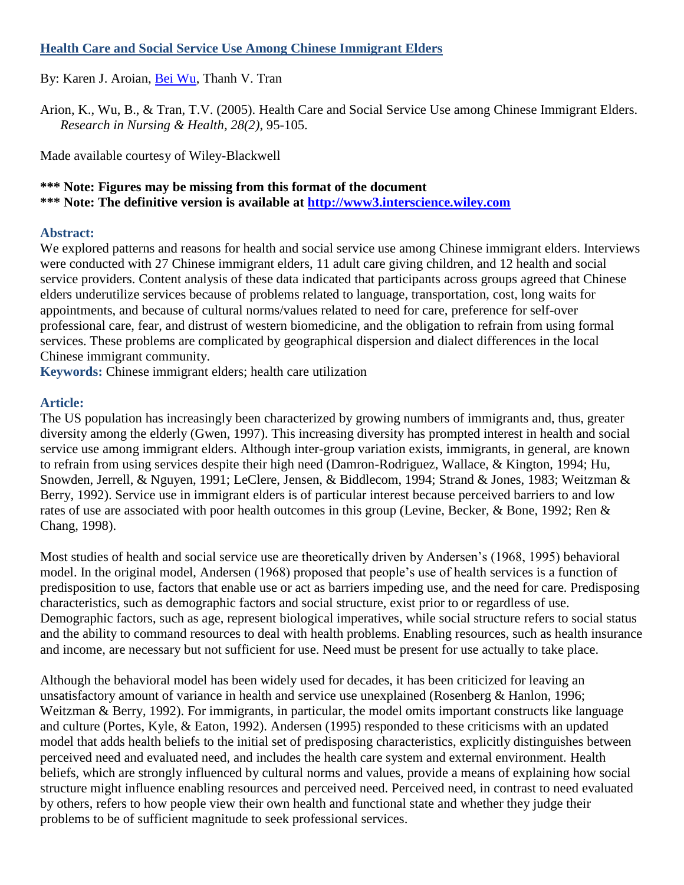#### **Health Care and Social Service Use Among Chinese Immigrant Elders**

By: Karen J. Aroian, [Bei Wu,](http://libres.uncg.edu/ir/uncg/clist.aspx?id=2970) Thanh V. Tran

Arion, K., Wu, B., & Tran, T.V. (2005). Health Care and Social Service Use among Chinese Immigrant Elders. *Research in Nursing & Health, 28(2)*, 95-105.

Made available courtesy of Wiley-Blackwell

## **\*\*\* Note: Figures may be missing from this format of the document**

**\*\*\* Note: The definitive version is available at [http://www3.interscience.wiley.com](http://www3.interscience.wiley.com/)**

## **Abstract:**

We explored patterns and reasons for health and social service use among Chinese immigrant elders. Interviews were conducted with 27 Chinese immigrant elders, 11 adult care giving children, and 12 health and social service providers. Content analysis of these data indicated that participants across groups agreed that Chinese elders underutilize services because of problems related to language, transportation, cost, long waits for appointments, and because of cultural norms/values related to need for care, preference for self-over professional care, fear, and distrust of western biomedicine, and the obligation to refrain from using formal services. These problems are complicated by geographical dispersion and dialect differences in the local Chinese immigrant community.

**Keywords:** Chinese immigrant elders; health care utilization

# **Article:**

The US population has increasingly been characterized by growing numbers of immigrants and, thus, greater diversity among the elderly (Gwen, 1997). This increasing diversity has prompted interest in health and social service use among immigrant elders. Although inter-group variation exists, immigrants, in general, are known to refrain from using services despite their high need (Damron-Rodriguez, Wallace, & Kington, 1994; Hu, Snowden, Jerrell, & Nguyen, 1991; LeClere, Jensen, & Biddlecom, 1994; Strand & Jones, 1983; Weitzman & Berry, 1992). Service use in immigrant elders is of particular interest because perceived barriers to and low rates of use are associated with poor health outcomes in this group (Levine, Becker, & Bone, 1992; Ren & Chang, 1998).

Most studies of health and social service use are theoretically driven by Andersen's (1968, 1995) behavioral model. In the original model, Andersen (1968) proposed that people's use of health services is a function of predisposition to use, factors that enable use or act as barriers impeding use, and the need for care. Predisposing characteristics, such as demographic factors and social structure, exist prior to or regardless of use. Demographic factors, such as age, represent biological imperatives, while social structure refers to social status and the ability to command resources to deal with health problems. Enabling resources, such as health insurance and income, are necessary but not sufficient for use. Need must be present for use actually to take place.

Although the behavioral model has been widely used for decades, it has been criticized for leaving an unsatisfactory amount of variance in health and service use unexplained (Rosenberg & Hanlon, 1996; Weitzman & Berry, 1992). For immigrants, in particular, the model omits important constructs like language and culture (Portes, Kyle, & Eaton, 1992). Andersen (1995) responded to these criticisms with an updated model that adds health beliefs to the initial set of predisposing characteristics, explicitly distinguishes between perceived need and evaluated need, and includes the health care system and external environment. Health beliefs, which are strongly influenced by cultural norms and values, provide a means of explaining how social structure might influence enabling resources and perceived need. Perceived need, in contrast to need evaluated by others, refers to how people view their own health and functional state and whether they judge their problems to be of sufficient magnitude to seek professional services.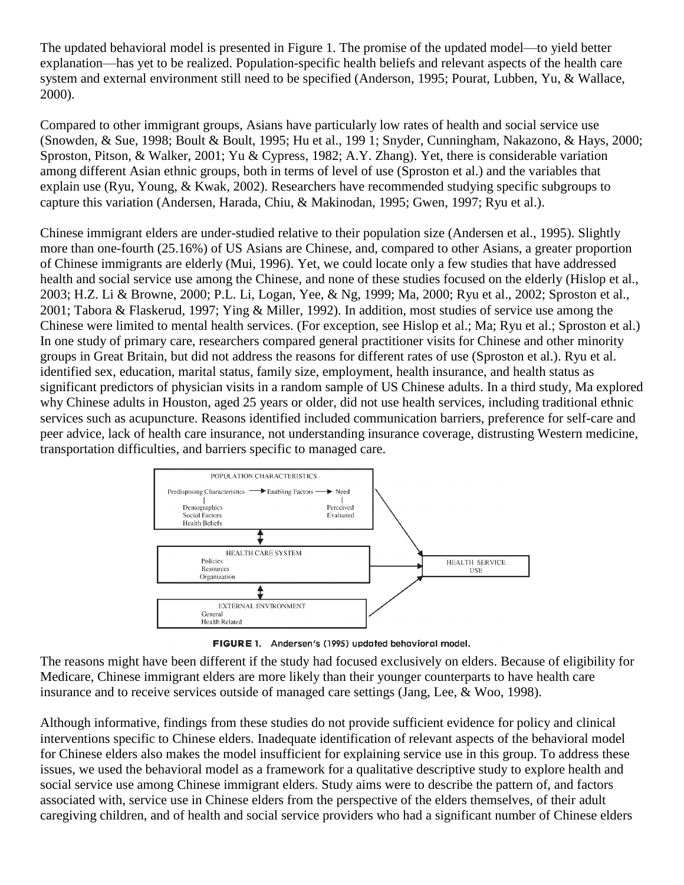The updated behavioral model is presented in Figure 1. The promise of the updated model—to yield better explanation—has yet to be realized. Population-specific health beliefs and relevant aspects of the health care system and external environment still need to be specified (Anderson, 1995; Pourat, Lubben, Yu, & Wallace, 2000).

Compared to other immigrant groups, Asians have particularly low rates of health and social service use (Snowden, & Sue, 1998; Boult & Boult, 1995; Hu et al., 199 1; Snyder, Cunningham, Nakazono, & Hays, 2000; Sproston, Pitson, & Walker, 2001; Yu & Cypress, 1982; A.Y. Zhang). Yet, there is considerable variation among different Asian ethnic groups, both in terms of level of use (Sproston et al.) and the variables that explain use (Ryu, Young, & Kwak, 2002). Researchers have recommended studying specific subgroups to capture this variation (Andersen, Harada, Chiu, & Makinodan, 1995; Gwen, 1997; Ryu et al.).

Chinese immigrant elders are under-studied relative to their population size (Andersen et al., 1995). Slightly more than one-fourth (25.16%) of US Asians are Chinese, and, compared to other Asians, a greater proportion of Chinese immigrants are elderly (Mui, 1996). Yet, we could locate only a few studies that have addressed health and social service use among the Chinese, and none of these studies focused on the elderly (Hislop et al., 2003; H.Z. Li & Browne, 2000; P.L. Li, Logan, Yee, & Ng, 1999; Ma, 2000; Ryu et al., 2002; Sproston et al., 2001; Tabora & Flaskerud, 1997; Ying & Miller, 1992). In addition, most studies of service use among the Chinese were limited to mental health services. (For exception, see Hislop et al.; Ma; Ryu et al.; Sproston et al.) In one study of primary care, researchers compared general practitioner visits for Chinese and other minority groups in Great Britain, but did not address the reasons for different rates of use (Sproston et al.). Ryu et al. identified sex, education, marital status, family size, employment, health insurance, and health status as significant predictors of physician visits in a random sample of US Chinese adults. In a third study, Ma explored why Chinese adults in Houston, aged 25 years or older, did not use health services, including traditional ethnic services such as acupuncture. Reasons identified included communication barriers, preference for self-care and peer advice, lack of health care insurance, not understanding insurance coverage, distrusting Western medicine, transportation difficulties, and barriers specific to managed care.



FIGURE 1. Andersen's (1995) updated behavioral model.

The reasons might have been different if the study had focused exclusively on elders. Because of eligibility for Medicare, Chinese immigrant elders are more likely than their younger counterparts to have health care insurance and to receive services outside of managed care settings (Jang, Lee, & Woo, 1998).

Although informative, findings from these studies do not provide sufficient evidence for policy and clinical interventions specific to Chinese elders. Inadequate identification of relevant aspects of the behavioral model for Chinese elders also makes the model insufficient for explaining service use in this group. To address these issues, we used the behavioral model as a framework for a qualitative descriptive study to explore health and social service use among Chinese immigrant elders. Study aims were to describe the pattern of, and factors associated with, service use in Chinese elders from the perspective of the elders themselves, of their adult caregiving children, and of health and social service providers who had a significant number of Chinese elders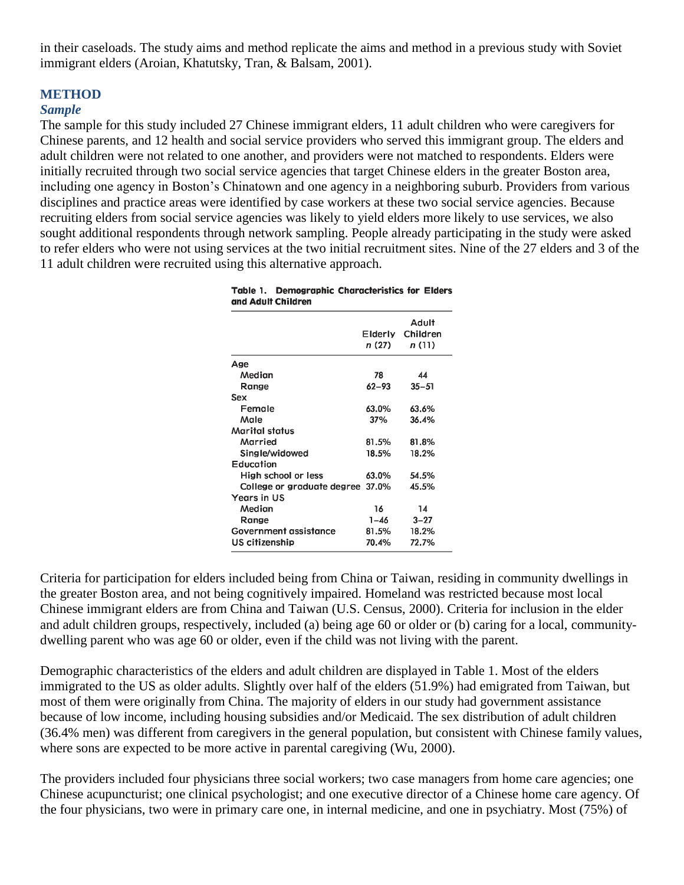in their caseloads. The study aims and method replicate the aims and method in a previous study with Soviet immigrant elders (Aroian, Khatutsky, Tran, & Balsam, 2001).

# **METHOD**

#### *Sample*

The sample for this study included 27 Chinese immigrant elders, 11 adult children who were caregivers for Chinese parents, and 12 health and social service providers who served this immigrant group. The elders and adult children were not related to one another, and providers were not matched to respondents. Elders were initially recruited through two social service agencies that target Chinese elders in the greater Boston area, including one agency in Boston's Chinatown and one agency in a neighboring suburb. Providers from various disciplines and practice areas were identified by case workers at these two social service agencies. Because recruiting elders from social service agencies was likely to yield elders more likely to use services, we also sought additional respondents through network sampling. People already participating in the study were asked to refer elders who were not using services at the two initial recruitment sites. Nine of the 27 elders and 3 of the 11 adult children were recruited using this alternative approach.

|                                  | Elderly<br>n (27) | Adult<br>Children<br>n (11) |
|----------------------------------|-------------------|-----------------------------|
| Age                              |                   |                             |
| Median                           | 78                | 44                          |
| Range                            | 62–93             | $35 - 51$                   |
| Sex                              |                   |                             |
| Female                           | 63.0%             | 63.6%                       |
| Male                             | 37%               | 36.4%                       |
| Marital status                   |                   |                             |
| Married                          | 81.5%             | 81.8%                       |
| Single/widowed                   | 18.5%             | 18.2%                       |
| Education                        |                   |                             |
| High school or less              | 63.0%             | 54.5%                       |
| College or graduate degree 37.0% |                   | 45.5%                       |
| Years in US                      |                   |                             |
| Median                           | 16                | 14                          |
| Range                            | $1 - 46$          | $3 - 27$                    |
| Government assistance            | 81.5%             | 18.2%                       |
| US citizenship                   | 70.4%             | 72.7%                       |
|                                  |                   |                             |

#### Table 1. Demographic Characteristics for Elders and Adult Children

Criteria for participation for elders included being from China or Taiwan, residing in community dwellings in the greater Boston area, and not being cognitively impaired. Homeland was restricted because most local Chinese immigrant elders are from China and Taiwan (U.S. Census, 2000). Criteria for inclusion in the elder and adult children groups, respectively, included (a) being age 60 or older or (b) caring for a local, communitydwelling parent who was age 60 or older, even if the child was not living with the parent.

Demographic characteristics of the elders and adult children are displayed in Table 1. Most of the elders immigrated to the US as older adults. Slightly over half of the elders (51.9%) had emigrated from Taiwan, but most of them were originally from China. The majority of elders in our study had government assistance because of low income, including housing subsidies and/or Medicaid. The sex distribution of adult children (36.4% men) was different from caregivers in the general population, but consistent with Chinese family values, where sons are expected to be more active in parental caregiving (Wu, 2000).

The providers included four physicians three social workers; two case managers from home care agencies; one Chinese acupuncturist; one clinical psychologist; and one executive director of a Chinese home care agency. Of the four physicians, two were in primary care one, in internal medicine, and one in psychiatry. Most (75%) of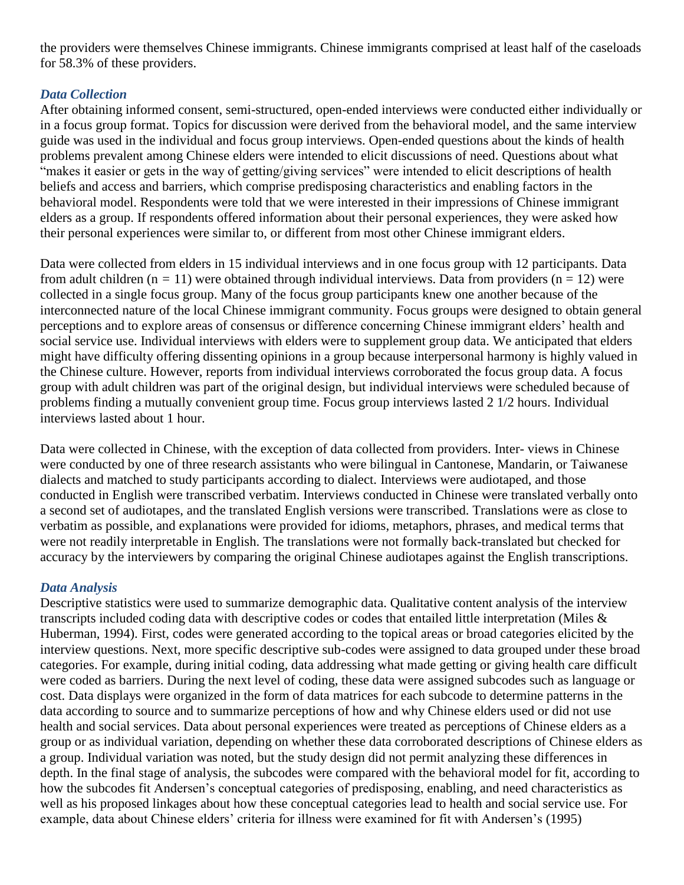the providers were themselves Chinese immigrants. Chinese immigrants comprised at least half of the caseloads for 58.3% of these providers.

## *Data Collection*

After obtaining informed consent, semi-structured, open-ended interviews were conducted either individually or in a focus group format. Topics for discussion were derived from the behavioral model, and the same interview guide was used in the individual and focus group interviews. Open-ended questions about the kinds of health problems prevalent among Chinese elders were intended to elicit discussions of need. Questions about what "makes it easier or gets in the way of getting/giving services" were intended to elicit descriptions of health beliefs and access and barriers, which comprise predisposing characteristics and enabling factors in the behavioral model. Respondents were told that we were interested in their impressions of Chinese immigrant elders as a group. If respondents offered information about their personal experiences, they were asked how their personal experiences were similar to, or different from most other Chinese immigrant elders.

Data were collected from elders in 15 individual interviews and in one focus group with 12 participants. Data from adult children  $(n = 11)$  were obtained through individual interviews. Data from providers  $(n = 12)$  were collected in a single focus group. Many of the focus group participants knew one another because of the interconnected nature of the local Chinese immigrant community. Focus groups were designed to obtain general perceptions and to explore areas of consensus or difference concerning Chinese immigrant elders' health and social service use. Individual interviews with elders were to supplement group data. We anticipated that elders might have difficulty offering dissenting opinions in a group because interpersonal harmony is highly valued in the Chinese culture. However, reports from individual interviews corroborated the focus group data. A focus group with adult children was part of the original design, but individual interviews were scheduled because of problems finding a mutually convenient group time. Focus group interviews lasted 2 1/2 hours. Individual interviews lasted about 1 hour.

Data were collected in Chinese, with the exception of data collected from providers. Inter- views in Chinese were conducted by one of three research assistants who were bilingual in Cantonese, Mandarin, or Taiwanese dialects and matched to study participants according to dialect. Interviews were audiotaped, and those conducted in English were transcribed verbatim. Interviews conducted in Chinese were translated verbally onto a second set of audiotapes, and the translated English versions were transcribed. Translations were as close to verbatim as possible, and explanations were provided for idioms, metaphors, phrases, and medical terms that were not readily interpretable in English. The translations were not formally back-translated but checked for accuracy by the interviewers by comparing the original Chinese audiotapes against the English transcriptions.

#### *Data Analysis*

Descriptive statistics were used to summarize demographic data. Qualitative content analysis of the interview transcripts included coding data with descriptive codes or codes that entailed little interpretation (Miles & Huberman, 1994). First, codes were generated according to the topical areas or broad categories elicited by the interview questions. Next, more specific descriptive sub-codes were assigned to data grouped under these broad categories. For example, during initial coding, data addressing what made getting or giving health care difficult were coded as barriers. During the next level of coding, these data were assigned subcodes such as language or cost. Data displays were organized in the form of data matrices for each subcode to determine patterns in the data according to source and to summarize perceptions of how and why Chinese elders used or did not use health and social services. Data about personal experiences were treated as perceptions of Chinese elders as a group or as individual variation, depending on whether these data corroborated descriptions of Chinese elders as a group. Individual variation was noted, but the study design did not permit analyzing these differences in depth. In the final stage of analysis, the subcodes were compared with the behavioral model for fit, according to how the subcodes fit Andersen's conceptual categories of predisposing, enabling, and need characteristics as well as his proposed linkages about how these conceptual categories lead to health and social service use. For example, data about Chinese elders' criteria for illness were examined for fit with Andersen's (1995)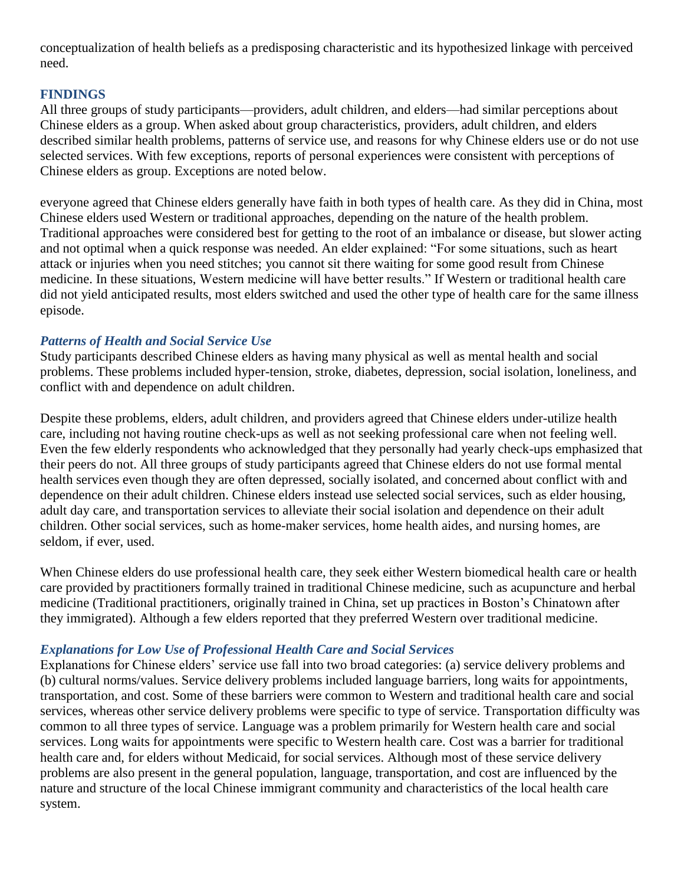conceptualization of health beliefs as a predisposing characteristic and its hypothesized linkage with perceived need.

#### **FINDINGS**

All three groups of study participants—providers, adult children, and elders—had similar perceptions about Chinese elders as a group. When asked about group characteristics, providers, adult children, and elders described similar health problems, patterns of service use, and reasons for why Chinese elders use or do not use selected services. With few exceptions, reports of personal experiences were consistent with perceptions of Chinese elders as group. Exceptions are noted below.

everyone agreed that Chinese elders generally have faith in both types of health care. As they did in China, most Chinese elders used Western or traditional approaches, depending on the nature of the health problem. Traditional approaches were considered best for getting to the root of an imbalance or disease, but slower acting and not optimal when a quick response was needed. An elder explained: "For some situations, such as heart attack or injuries when you need stitches; you cannot sit there waiting for some good result from Chinese medicine. In these situations, Western medicine will have better results." If Western or traditional health care did not yield anticipated results, most elders switched and used the other type of health care for the same illness episode.

#### *Patterns of Health and Social Service Use*

Study participants described Chinese elders as having many physical as well as mental health and social problems. These problems included hyper-tension, stroke, diabetes, depression, social isolation, loneliness, and conflict with and dependence on adult children.

Despite these problems, elders, adult children, and providers agreed that Chinese elders under-utilize health care, including not having routine check-ups as well as not seeking professional care when not feeling well. Even the few elderly respondents who acknowledged that they personally had yearly check-ups emphasized that their peers do not. All three groups of study participants agreed that Chinese elders do not use formal mental health services even though they are often depressed, socially isolated, and concerned about conflict with and dependence on their adult children. Chinese elders instead use selected social services, such as elder housing, adult day care, and transportation services to alleviate their social isolation and dependence on their adult children. Other social services, such as home-maker services, home health aides, and nursing homes, are seldom, if ever, used.

When Chinese elders do use professional health care, they seek either Western biomedical health care or health care provided by practitioners formally trained in traditional Chinese medicine, such as acupuncture and herbal medicine (Traditional practitioners, originally trained in China, set up practices in Boston's Chinatown after they immigrated). Although a few elders reported that they preferred Western over traditional medicine.

#### *Explanations for Low Use of Professional Health Care and Social Services*

Explanations for Chinese elders' service use fall into two broad categories: (a) service delivery problems and (b) cultural norms/values. Service delivery problems included language barriers, long waits for appointments, transportation, and cost. Some of these barriers were common to Western and traditional health care and social services, whereas other service delivery problems were specific to type of service. Transportation difficulty was common to all three types of service. Language was a problem primarily for Western health care and social services. Long waits for appointments were specific to Western health care. Cost was a barrier for traditional health care and, for elders without Medicaid, for social services. Although most of these service delivery problems are also present in the general population, language, transportation, and cost are influenced by the nature and structure of the local Chinese immigrant community and characteristics of the local health care system.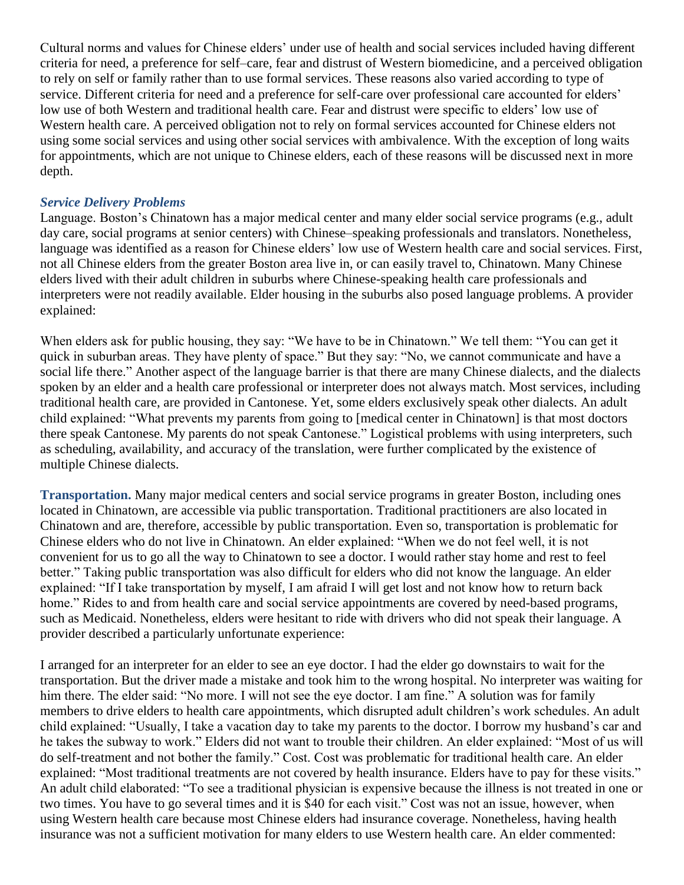Cultural norms and values for Chinese elders' under use of health and social services included having different criteria for need, a preference for self–care, fear and distrust of Western biomedicine, and a perceived obligation to rely on self or family rather than to use formal services. These reasons also varied according to type of service. Different criteria for need and a preference for self-care over professional care accounted for elders' low use of both Western and traditional health care. Fear and distrust were specific to elders' low use of Western health care. A perceived obligation not to rely on formal services accounted for Chinese elders not using some social services and using other social services with ambivalence. With the exception of long waits for appointments, which are not unique to Chinese elders, each of these reasons will be discussed next in more depth.

#### *Service Delivery Problems*

Language. Boston's Chinatown has a major medical center and many elder social service programs (e.g., adult day care, social programs at senior centers) with Chinese–speaking professionals and translators. Nonetheless, language was identified as a reason for Chinese elders' low use of Western health care and social services. First, not all Chinese elders from the greater Boston area live in, or can easily travel to, Chinatown. Many Chinese elders lived with their adult children in suburbs where Chinese-speaking health care professionals and interpreters were not readily available. Elder housing in the suburbs also posed language problems. A provider explained:

When elders ask for public housing, they say: "We have to be in Chinatown." We tell them: "You can get it quick in suburban areas. They have plenty of space." But they say: "No, we cannot communicate and have a social life there." Another aspect of the language barrier is that there are many Chinese dialects, and the dialects spoken by an elder and a health care professional or interpreter does not always match. Most services, including traditional health care, are provided in Cantonese. Yet, some elders exclusively speak other dialects. An adult child explained: ―What prevents my parents from going to [medical center in Chinatown] is that most doctors there speak Cantonese. My parents do not speak Cantonese." Logistical problems with using interpreters, such as scheduling, availability, and accuracy of the translation, were further complicated by the existence of multiple Chinese dialects.

**Transportation.** Many major medical centers and social service programs in greater Boston, including ones located in Chinatown, are accessible via public transportation. Traditional practitioners are also located in Chinatown and are, therefore, accessible by public transportation. Even so, transportation is problematic for Chinese elders who do not live in Chinatown. An elder explained: "When we do not feel well, it is not convenient for us to go all the way to Chinatown to see a doctor. I would rather stay home and rest to feel better." Taking public transportation was also difficult for elders who did not know the language. An elder explained: "If I take transportation by myself, I am afraid I will get lost and not know how to return back home." Rides to and from health care and social service appointments are covered by need-based programs, such as Medicaid. Nonetheless, elders were hesitant to ride with drivers who did not speak their language. A provider described a particularly unfortunate experience:

I arranged for an interpreter for an elder to see an eye doctor. I had the elder go downstairs to wait for the transportation. But the driver made a mistake and took him to the wrong hospital. No interpreter was waiting for him there. The elder said: "No more. I will not see the eye doctor. I am fine." A solution was for family members to drive elders to health care appointments, which disrupted adult children's work schedules. An adult child explained: "Usually, I take a vacation day to take my parents to the doctor. I borrow my husband's car and he takes the subway to work." Elders did not want to trouble their children. An elder explained: "Most of us will do self-treatment and not bother the family." Cost. Cost was problematic for traditional health care. An elder explained: "Most traditional treatments are not covered by health insurance. Elders have to pay for these visits." An adult child elaborated: "To see a traditional physician is expensive because the illness is not treated in one or two times. You have to go several times and it is \$40 for each visit." Cost was not an issue, however, when using Western health care because most Chinese elders had insurance coverage. Nonetheless, having health insurance was not a sufficient motivation for many elders to use Western health care. An elder commented: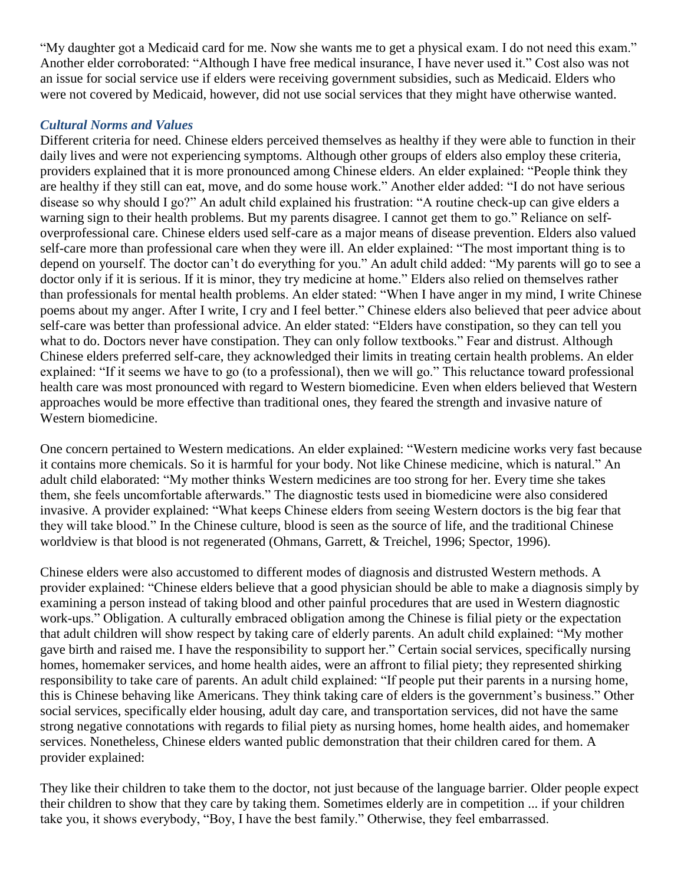"My daughter got a Medicaid card for me. Now she wants me to get a physical exam. I do not need this exam." Another elder corroborated: "Although I have free medical insurance, I have never used it." Cost also was not an issue for social service use if elders were receiving government subsidies, such as Medicaid. Elders who were not covered by Medicaid, however, did not use social services that they might have otherwise wanted.

## *Cultural Norms and Values*

Different criteria for need. Chinese elders perceived themselves as healthy if they were able to function in their daily lives and were not experiencing symptoms. Although other groups of elders also employ these criteria, providers explained that it is more pronounced among Chinese elders. An elder explained: "People think they are healthy if they still can eat, move, and do some house work." Another elder added: "I do not have serious disease so why should I go?" An adult child explained his frustration: "A routine check-up can give elders a warning sign to their health problems. But my parents disagree. I cannot get them to go." Reliance on selfoverprofessional care. Chinese elders used self-care as a major means of disease prevention. Elders also valued self-care more than professional care when they were ill. An elder explained: "The most important thing is to depend on yourself. The doctor can't do everything for you." An adult child added: "My parents will go to see a doctor only if it is serious. If it is minor, they try medicine at home." Elders also relied on themselves rather than professionals for mental health problems. An elder stated: "When I have anger in my mind, I write Chinese poems about my anger. After I write, I cry and I feel better." Chinese elders also believed that peer advice about self-care was better than professional advice. An elder stated: "Elders have constipation, so they can tell you what to do. Doctors never have constipation. They can only follow textbooks." Fear and distrust. Although Chinese elders preferred self-care, they acknowledged their limits in treating certain health problems. An elder explained: "If it seems we have to go (to a professional), then we will go." This reluctance toward professional health care was most pronounced with regard to Western biomedicine. Even when elders believed that Western approaches would be more effective than traditional ones, they feared the strength and invasive nature of Western biomedicine.

One concern pertained to Western medications. An elder explained: "Western medicine works very fast because it contains more chemicals. So it is harmful for your body. Not like Chinese medicine, which is natural." An adult child elaborated: "My mother thinks Western medicines are too strong for her. Every time she takes them, she feels uncomfortable afterwards." The diagnostic tests used in biomedicine were also considered invasive. A provider explained: "What keeps Chinese elders from seeing Western doctors is the big fear that they will take blood." In the Chinese culture, blood is seen as the source of life, and the traditional Chinese worldview is that blood is not regenerated (Ohmans, Garrett, & Treichel, 1996; Spector, 1996).

Chinese elders were also accustomed to different modes of diagnosis and distrusted Western methods. A provider explained: ―Chinese elders believe that a good physician should be able to make a diagnosis simply by examining a person instead of taking blood and other painful procedures that are used in Western diagnostic work-ups." Obligation. A culturally embraced obligation among the Chinese is filial piety or the expectation that adult children will show respect by taking care of elderly parents. An adult child explained: "My mother gave birth and raised me. I have the responsibility to support her." Certain social services, specifically nursing homes, homemaker services, and home health aides, were an affront to filial piety; they represented shirking responsibility to take care of parents. An adult child explained: "If people put their parents in a nursing home, this is Chinese behaving like Americans. They think taking care of elders is the government's business." Other social services, specifically elder housing, adult day care, and transportation services, did not have the same strong negative connotations with regards to filial piety as nursing homes, home health aides, and homemaker services. Nonetheless, Chinese elders wanted public demonstration that their children cared for them. A provider explained:

They like their children to take them to the doctor, not just because of the language barrier. Older people expect their children to show that they care by taking them. Sometimes elderly are in competition ... if your children take you, it shows everybody, "Boy, I have the best family." Otherwise, they feel embarrassed.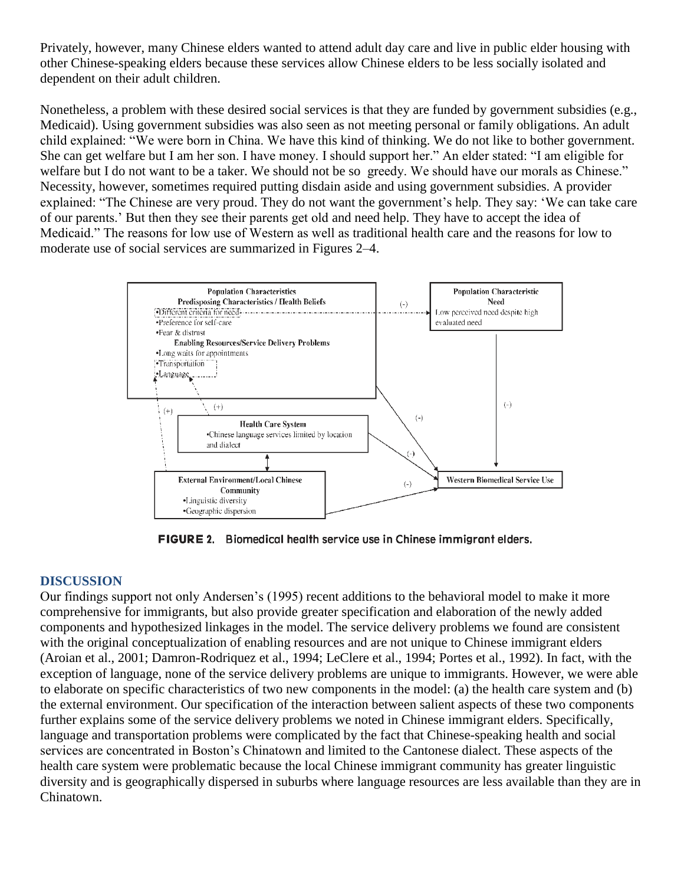Privately, however, many Chinese elders wanted to attend adult day care and live in public elder housing with other Chinese-speaking elders because these services allow Chinese elders to be less socially isolated and dependent on their adult children.

Nonetheless, a problem with these desired social services is that they are funded by government subsidies (e.g., Medicaid). Using government subsidies was also seen as not meeting personal or family obligations. An adult child explained: ―We were born in China. We have this kind of thinking. We do not like to bother government. She can get welfare but I am her son. I have money. I should support her." An elder stated: "I am eligible for welfare but I do not want to be a taker. We should not be so greedy. We should have our morals as Chinese." Necessity, however, sometimes required putting disdain aside and using government subsidies. A provider explained: "The Chinese are very proud. They do not want the government's help. They say: 'We can take care of our parents.' But then they see their parents get old and need help. They have to accept the idea of Medicaid.‖ The reasons for low use of Western as well as traditional health care and the reasons for low to moderate use of social services are summarized in Figures 2–4.



FIGURE 2. Biomedical health service use in Chinese immigrant elders.

#### **DISCUSSION**

Our findings support not only Andersen's (1995) recent additions to the behavioral model to make it more comprehensive for immigrants, but also provide greater specification and elaboration of the newly added components and hypothesized linkages in the model. The service delivery problems we found are consistent with the original conceptualization of enabling resources and are not unique to Chinese immigrant elders (Aroian et al., 2001; Damron-Rodriquez et al., 1994; LeClere et al., 1994; Portes et al., 1992). In fact, with the exception of language, none of the service delivery problems are unique to immigrants. However, we were able to elaborate on specific characteristics of two new components in the model: (a) the health care system and (b) the external environment. Our specification of the interaction between salient aspects of these two components further explains some of the service delivery problems we noted in Chinese immigrant elders. Specifically, language and transportation problems were complicated by the fact that Chinese-speaking health and social services are concentrated in Boston's Chinatown and limited to the Cantonese dialect. These aspects of the health care system were problematic because the local Chinese immigrant community has greater linguistic diversity and is geographically dispersed in suburbs where language resources are less available than they are in Chinatown.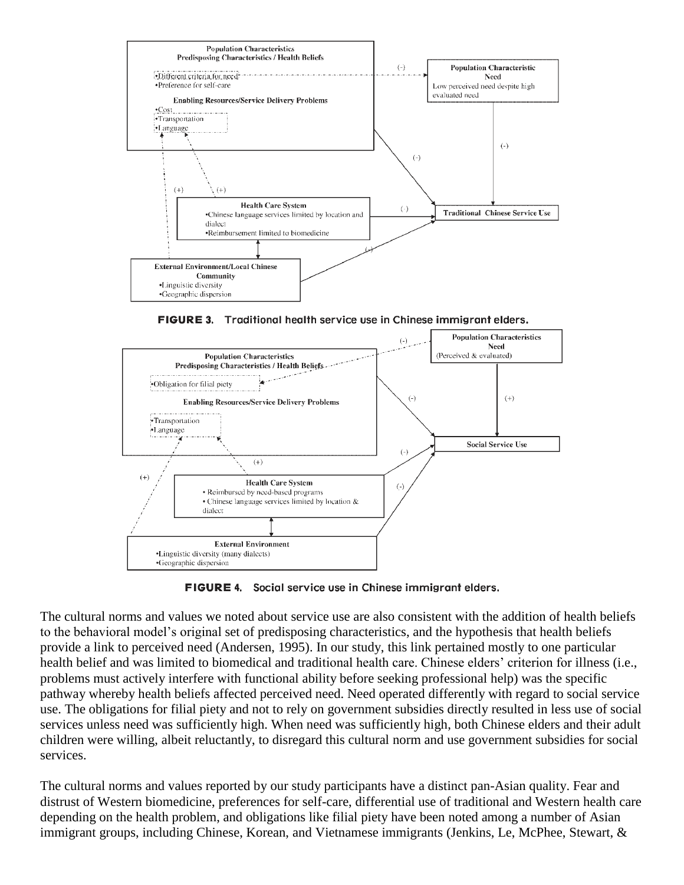

FIGURE 3. Traditional health service use in Chinese immigrant elders.



**FIGURE 4.** Social service use in Chinese immigrant elders.

The cultural norms and values we noted about service use are also consistent with the addition of health beliefs to the behavioral model's original set of predisposing characteristics, and the hypothesis that health beliefs provide a link to perceived need (Andersen, 1995). In our study, this link pertained mostly to one particular health belief and was limited to biomedical and traditional health care. Chinese elders' criterion for illness (i.e., problems must actively interfere with functional ability before seeking professional help) was the specific pathway whereby health beliefs affected perceived need. Need operated differently with regard to social service use. The obligations for filial piety and not to rely on government subsidies directly resulted in less use of social services unless need was sufficiently high. When need was sufficiently high, both Chinese elders and their adult children were willing, albeit reluctantly, to disregard this cultural norm and use government subsidies for social services.

The cultural norms and values reported by our study participants have a distinct pan-Asian quality. Fear and distrust of Western biomedicine, preferences for self-care, differential use of traditional and Western health care depending on the health problem, and obligations like filial piety have been noted among a number of Asian immigrant groups, including Chinese, Korean, and Vietnamese immigrants (Jenkins, Le, McPhee, Stewart, &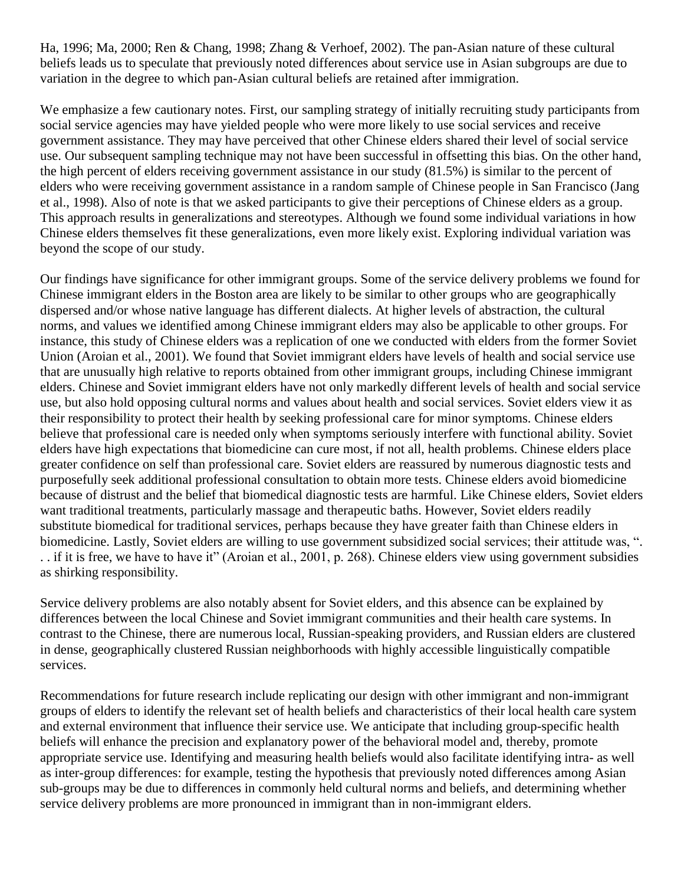Ha, 1996; Ma, 2000; Ren & Chang, 1998; Zhang & Verhoef, 2002). The pan-Asian nature of these cultural beliefs leads us to speculate that previously noted differences about service use in Asian subgroups are due to variation in the degree to which pan-Asian cultural beliefs are retained after immigration.

We emphasize a few cautionary notes. First, our sampling strategy of initially recruiting study participants from social service agencies may have yielded people who were more likely to use social services and receive government assistance. They may have perceived that other Chinese elders shared their level of social service use. Our subsequent sampling technique may not have been successful in offsetting this bias. On the other hand, the high percent of elders receiving government assistance in our study (81.5%) is similar to the percent of elders who were receiving government assistance in a random sample of Chinese people in San Francisco (Jang et al., 1998). Also of note is that we asked participants to give their perceptions of Chinese elders as a group. This approach results in generalizations and stereotypes. Although we found some individual variations in how Chinese elders themselves fit these generalizations, even more likely exist. Exploring individual variation was beyond the scope of our study.

Our findings have significance for other immigrant groups. Some of the service delivery problems we found for Chinese immigrant elders in the Boston area are likely to be similar to other groups who are geographically dispersed and/or whose native language has different dialects. At higher levels of abstraction, the cultural norms, and values we identified among Chinese immigrant elders may also be applicable to other groups. For instance, this study of Chinese elders was a replication of one we conducted with elders from the former Soviet Union (Aroian et al., 2001). We found that Soviet immigrant elders have levels of health and social service use that are unusually high relative to reports obtained from other immigrant groups, including Chinese immigrant elders. Chinese and Soviet immigrant elders have not only markedly different levels of health and social service use, but also hold opposing cultural norms and values about health and social services. Soviet elders view it as their responsibility to protect their health by seeking professional care for minor symptoms. Chinese elders believe that professional care is needed only when symptoms seriously interfere with functional ability. Soviet elders have high expectations that biomedicine can cure most, if not all, health problems. Chinese elders place greater confidence on self than professional care. Soviet elders are reassured by numerous diagnostic tests and purposefully seek additional professional consultation to obtain more tests. Chinese elders avoid biomedicine because of distrust and the belief that biomedical diagnostic tests are harmful. Like Chinese elders, Soviet elders want traditional treatments, particularly massage and therapeutic baths. However, Soviet elders readily substitute biomedical for traditional services, perhaps because they have greater faith than Chinese elders in biomedicine. Lastly, Soviet elders are willing to use government subsidized social services; their attitude was, ". .. if it is free, we have to have it" (Aroian et al., 2001, p. 268). Chinese elders view using government subsidies as shirking responsibility.

Service delivery problems are also notably absent for Soviet elders, and this absence can be explained by differences between the local Chinese and Soviet immigrant communities and their health care systems. In contrast to the Chinese, there are numerous local, Russian-speaking providers, and Russian elders are clustered in dense, geographically clustered Russian neighborhoods with highly accessible linguistically compatible services.

Recommendations for future research include replicating our design with other immigrant and non-immigrant groups of elders to identify the relevant set of health beliefs and characteristics of their local health care system and external environment that influence their service use. We anticipate that including group-specific health beliefs will enhance the precision and explanatory power of the behavioral model and, thereby, promote appropriate service use. Identifying and measuring health beliefs would also facilitate identifying intra- as well as inter-group differences: for example, testing the hypothesis that previously noted differences among Asian sub-groups may be due to differences in commonly held cultural norms and beliefs, and determining whether service delivery problems are more pronounced in immigrant than in non-immigrant elders.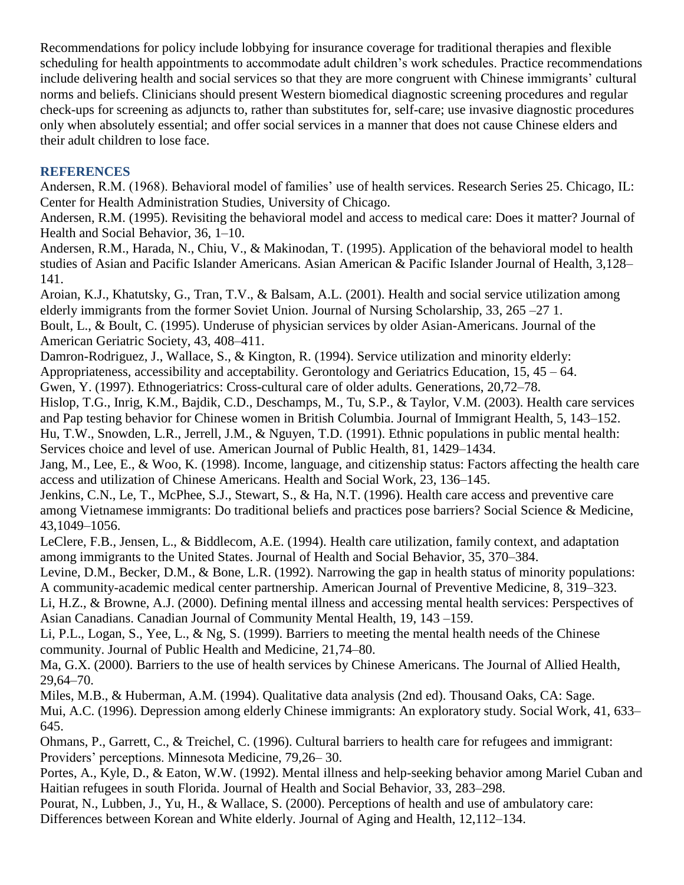Recommendations for policy include lobbying for insurance coverage for traditional therapies and flexible scheduling for health appointments to accommodate adult children's work schedules. Practice recommendations include delivering health and social services so that they are more congruent with Chinese immigrants' cultural norms and beliefs. Clinicians should present Western biomedical diagnostic screening procedures and regular check-ups for screening as adjuncts to, rather than substitutes for, self-care; use invasive diagnostic procedures only when absolutely essential; and offer social services in a manner that does not cause Chinese elders and their adult children to lose face.

## **REFERENCES**

Andersen, R.M. (1968). Behavioral model of families' use of health services. Research Series 25. Chicago, IL: Center for Health Administration Studies, University of Chicago.

Andersen, R.M. (1995). Revisiting the behavioral model and access to medical care: Does it matter? Journal of Health and Social Behavior, 36, 1–10.

Andersen, R.M., Harada, N., Chiu, V., & Makinodan, T. (1995). Application of the behavioral model to health studies of Asian and Pacific Islander Americans. Asian American & Pacific Islander Journal of Health, 3,128– 141.

Aroian, K.J., Khatutsky, G., Tran, T.V., & Balsam, A.L. (2001). Health and social service utilization among elderly immigrants from the former Soviet Union. Journal of Nursing Scholarship, 33, 265 –27 1. Boult, L., & Boult, C. (1995). Underuse of physician services by older Asian-Americans. Journal of the American Geriatric Society, 43, 408–411.

Damron-Rodriguez, J., Wallace, S., & Kington, R. (1994). Service utilization and minority elderly: Appropriateness, accessibility and acceptability. Gerontology and Geriatrics Education, 15, 45 – 64. Gwen, Y. (1997). Ethnogeriatrics: Cross-cultural care of older adults. Generations, 20,72–78.

Hislop, T.G., Inrig, K.M., Bajdik, C.D., Deschamps, M., Tu, S.P., & Taylor, V.M. (2003). Health care services and Pap testing behavior for Chinese women in British Columbia. Journal of Immigrant Health, 5, 143–152. Hu, T.W., Snowden, L.R., Jerrell, J.M., & Nguyen, T.D. (1991). Ethnic populations in public mental health: Services choice and level of use. American Journal of Public Health, 81, 1429–1434.

Jang, M., Lee, E., & Woo, K. (1998). Income, language, and citizenship status: Factors affecting the health care access and utilization of Chinese Americans. Health and Social Work, 23, 136–145.

Jenkins, C.N., Le, T., McPhee, S.J., Stewart, S., & Ha, N.T. (1996). Health care access and preventive care among Vietnamese immigrants: Do traditional beliefs and practices pose barriers? Social Science & Medicine, 43,1049–1056.

LeClere, F.B., Jensen, L., & Biddlecom, A.E. (1994). Health care utilization, family context, and adaptation among immigrants to the United States. Journal of Health and Social Behavior, 35, 370–384.

Levine, D.M., Becker, D.M., & Bone, L.R. (1992). Narrowing the gap in health status of minority populations: A community-academic medical center partnership. American Journal of Preventive Medicine, 8, 319–323.

Li, H.Z., & Browne, A.J. (2000). Defining mental illness and accessing mental health services: Perspectives of Asian Canadians. Canadian Journal of Community Mental Health, 19, 143 –159.

Li, P.L., Logan, S., Yee, L., & Ng, S. (1999). Barriers to meeting the mental health needs of the Chinese community. Journal of Public Health and Medicine, 21,74–80.

Ma, G.X. (2000). Barriers to the use of health services by Chinese Americans. The Journal of Allied Health, 29,64–70.

Miles, M.B., & Huberman, A.M. (1994). Qualitative data analysis (2nd ed). Thousand Oaks, CA: Sage. Mui, A.C. (1996). Depression among elderly Chinese immigrants: An exploratory study. Social Work, 41, 633– 645.

Ohmans, P., Garrett, C., & Treichel, C. (1996). Cultural barriers to health care for refugees and immigrant: Providers' perceptions. Minnesota Medicine, 79,26– 30.

Portes, A., Kyle, D., & Eaton, W.W. (1992). Mental illness and help-seeking behavior among Mariel Cuban and Haitian refugees in south Florida. Journal of Health and Social Behavior, 33, 283–298.

Pourat, N., Lubben, J., Yu, H., & Wallace, S. (2000). Perceptions of health and use of ambulatory care:

Differences between Korean and White elderly. Journal of Aging and Health, 12,112–134.